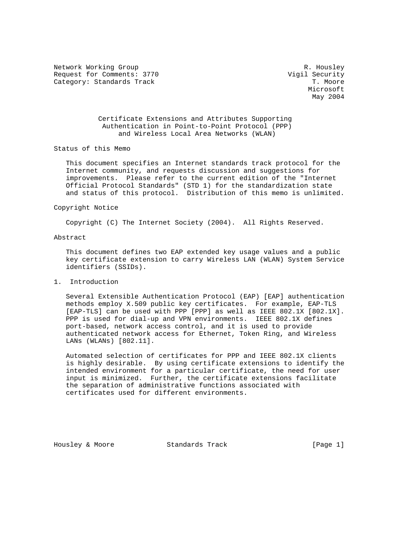Network Working Group and the set of the set of the set of the R. Housley Request for Comments: 3770 Vigil Security Category: Standards Track

Microsoft **Microsoft** May 2004

> Certificate Extensions and Attributes Supporting Authentication in Point-to-Point Protocol (PPP) and Wireless Local Area Networks (WLAN)

Status of this Memo

 This document specifies an Internet standards track protocol for the Internet community, and requests discussion and suggestions for improvements. Please refer to the current edition of the "Internet Official Protocol Standards" (STD 1) for the standardization state and status of this protocol. Distribution of this memo is unlimited.

## Copyright Notice

Copyright (C) The Internet Society (2004). All Rights Reserved.

### Abstract

 This document defines two EAP extended key usage values and a public key certificate extension to carry Wireless LAN (WLAN) System Service identifiers (SSIDs).

1. Introduction

 Several Extensible Authentication Protocol (EAP) [EAP] authentication methods employ X.509 public key certificates. For example, EAP-TLS [EAP-TLS] can be used with PPP [PPP] as well as IEEE 802.1X [802.1X]. PPP is used for dial-up and VPN environments. IEEE 802.1X defines port-based, network access control, and it is used to provide authenticated network access for Ethernet, Token Ring, and Wireless LANs (WLANs) [802.11].

 Automated selection of certificates for PPP and IEEE 802.1X clients is highly desirable. By using certificate extensions to identify the intended environment for a particular certificate, the need for user input is minimized. Further, the certificate extensions facilitate the separation of administrative functions associated with certificates used for different environments.

Housley & Moore Standards Track [Page 1]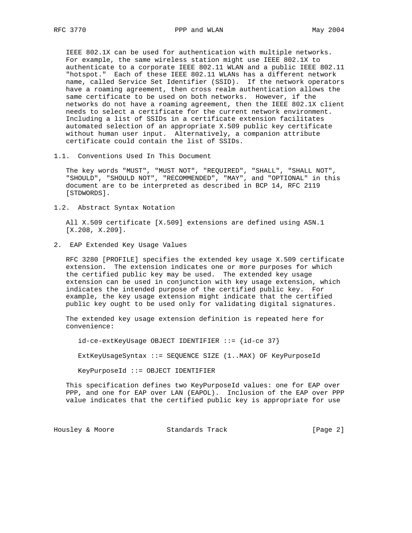IEEE 802.1X can be used for authentication with multiple networks. For example, the same wireless station might use IEEE 802.1X to authenticate to a corporate IEEE 802.11 WLAN and a public IEEE 802.11 "hotspot." Each of these IEEE 802.11 WLANs has a different network name, called Service Set Identifier (SSID). If the network operators have a roaming agreement, then cross realm authentication allows the same certificate to be used on both networks. However, if the networks do not have a roaming agreement, then the IEEE 802.1X client needs to select a certificate for the current network environment. Including a list of SSIDs in a certificate extension facilitates automated selection of an appropriate X.509 public key certificate without human user input. Alternatively, a companion attribute certificate could contain the list of SSIDs.

1.1. Conventions Used In This Document

 The key words "MUST", "MUST NOT", "REQUIRED", "SHALL", "SHALL NOT", "SHOULD", "SHOULD NOT", "RECOMMENDED", "MAY", and "OPTIONAL" in this document are to be interpreted as described in BCP 14, RFC 2119 [STDWORDS].

1.2. Abstract Syntax Notation

 All X.509 certificate [X.509] extensions are defined using ASN.1 [X.208, X.209].

2. EAP Extended Key Usage Values

 RFC 3280 [PROFILE] specifies the extended key usage X.509 certificate extension. The extension indicates one or more purposes for which the certified public key may be used. The extended key usage extension can be used in conjunction with key usage extension, which indicates the intended purpose of the certified public key. For example, the key usage extension might indicate that the certified public key ought to be used only for validating digital signatures.

 The extended key usage extension definition is repeated here for convenience:

id-ce-extKeyUsage OBJECT IDENTIFIER ::= {id-ce 37}

ExtKeyUsageSyntax ::= SEQUENCE SIZE (1..MAX) OF KeyPurposeId

KeyPurposeId ::= OBJECT IDENTIFIER

 This specification defines two KeyPurposeId values: one for EAP over PPP, and one for EAP over LAN (EAPOL). Inclusion of the EAP over PPP value indicates that the certified public key is appropriate for use

Housley & Moore 6 Standards Track 6 (Page 2)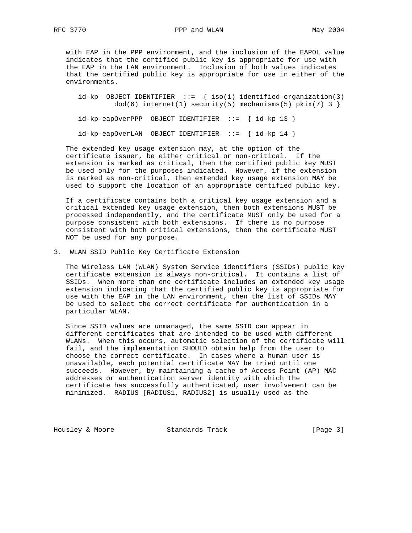RFC 3770 PPP and WLAN PPP and WLAN May 2004

 with EAP in the PPP environment, and the inclusion of the EAPOL value indicates that the certified public key is appropriate for use with the EAP in the LAN environment. Inclusion of both values indicates that the certified public key is appropriate for use in either of the environments.

id-kp OBJECT IDENTIFIER  $::=$  { iso(1) identified-organization(3)  $dod(6)$  internet(1) security(5) mechanisms(5) pkix(7) 3 }

id-kp-eapOverPPP OBJECT IDENTIFIER ::= { id-kp 13 }

id-kp-eapOverLAN OBJECT IDENTIFIER ::= { id-kp 14 }

 The extended key usage extension may, at the option of the certificate issuer, be either critical or non-critical. If the extension is marked as critical, then the certified public key MUST be used only for the purposes indicated. However, if the extension is marked as non-critical, then extended key usage extension MAY be used to support the location of an appropriate certified public key.

 If a certificate contains both a critical key usage extension and a critical extended key usage extension, then both extensions MUST be processed independently, and the certificate MUST only be used for a purpose consistent with both extensions. If there is no purpose consistent with both critical extensions, then the certificate MUST NOT be used for any purpose.

3. WLAN SSID Public Key Certificate Extension

 The Wireless LAN (WLAN) System Service identifiers (SSIDs) public key certificate extension is always non-critical. It contains a list of SSIDs. When more than one certificate includes an extended key usage extension indicating that the certified public key is appropriate for use with the EAP in the LAN environment, then the list of SSIDs MAY be used to select the correct certificate for authentication in a particular WLAN.

 Since SSID values are unmanaged, the same SSID can appear in different certificates that are intended to be used with different WLANs. When this occurs, automatic selection of the certificate will fail, and the implementation SHOULD obtain help from the user to choose the correct certificate. In cases where a human user is unavailable, each potential certificate MAY be tried until one succeeds. However, by maintaining a cache of Access Point (AP) MAC addresses or authentication server identity with which the certificate has successfully authenticated, user involvement can be minimized. RADIUS [RADIUS1, RADIUS2] is usually used as the

Housley & Moore 6 Standards Track 6 (Page 3)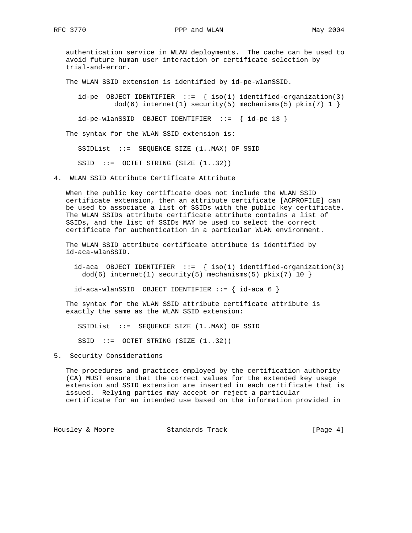authentication service in WLAN deployments. The cache can be used to avoid future human user interaction or certificate selection by trial-and-error.

The WLAN SSID extension is identified by id-pe-wlanSSID.

id-pe OBJECT IDENTIFIER  $::=$  { iso(1) identified-organization(3)  $dod(6)$  internet(1) security(5) mechanisms(5) pkix(7) 1 }

id-pe-wlanSSID OBJECT IDENTIFIER ::= { id-pe 13 }

The syntax for the WLAN SSID extension is:

SSIDList ::= SEQUENCE SIZE (1..MAX) OF SSID

SSID ::= OCTET STRING (SIZE (1..32))

4. WLAN SSID Attribute Certificate Attribute

 When the public key certificate does not include the WLAN SSID certificate extension, then an attribute certificate [ACPROFILE] can be used to associate a list of SSIDs with the public key certificate. The WLAN SSIDs attribute certificate attribute contains a list of SSIDs, and the list of SSIDs MAY be used to select the correct certificate for authentication in a particular WLAN environment.

 The WLAN SSID attribute certificate attribute is identified by id-aca-wlanSSID.

 $id$ -aca OBJECT IDENTIFIER ::= {  $iso(1)$  identified-organization(3)  $dod(6)$  internet(1) security(5) mechanisms(5) pkix(7) 10 }

 $id$ -aca-wlanSSID OBJECT IDENTIFIER  $::=$  {  $id$ -aca 6 }

 The syntax for the WLAN SSID attribute certificate attribute is exactly the same as the WLAN SSID extension:

SSIDList ::= SEQUENCE SIZE (1..MAX) OF SSID

SSID ::= OCTET STRING (SIZE (1..32))

5. Security Considerations

 The procedures and practices employed by the certification authority (CA) MUST ensure that the correct values for the extended key usage extension and SSID extension are inserted in each certificate that is issued. Relying parties may accept or reject a particular certificate for an intended use based on the information provided in

Housley & Moore 5tandards Track 19 (Page 4)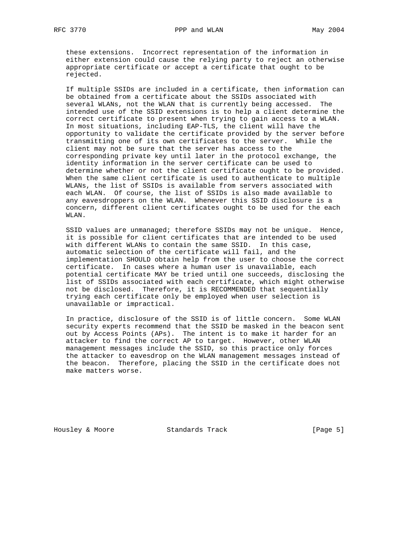these extensions. Incorrect representation of the information in either extension could cause the relying party to reject an otherwise appropriate certificate or accept a certificate that ought to be rejected.

 If multiple SSIDs are included in a certificate, then information can be obtained from a certificate about the SSIDs associated with several WLANs, not the WLAN that is currently being accessed. The intended use of the SSID extensions is to help a client determine the correct certificate to present when trying to gain access to a WLAN. In most situations, including EAP-TLS, the client will have the opportunity to validate the certificate provided by the server before transmitting one of its own certificates to the server. While the client may not be sure that the server has access to the corresponding private key until later in the protocol exchange, the identity information in the server certificate can be used to determine whether or not the client certificate ought to be provided. When the same client certificate is used to authenticate to multiple WLANs, the list of SSIDs is available from servers associated with each WLAN. Of course, the list of SSIDs is also made available to any eavesdroppers on the WLAN. Whenever this SSID disclosure is a concern, different client certificates ought to be used for the each WLAN.

 SSID values are unmanaged; therefore SSIDs may not be unique. Hence, it is possible for client certificates that are intended to be used with different WLANs to contain the same SSID. In this case, automatic selection of the certificate will fail, and the implementation SHOULD obtain help from the user to choose the correct certificate. In cases where a human user is unavailable, each potential certificate MAY be tried until one succeeds, disclosing the list of SSIDs associated with each certificate, which might otherwise not be disclosed. Therefore, it is RECOMMENDED that sequentially trying each certificate only be employed when user selection is unavailable or impractical.

 In practice, disclosure of the SSID is of little concern. Some WLAN security experts recommend that the SSID be masked in the beacon sent out by Access Points (APs). The intent is to make it harder for an attacker to find the correct AP to target. However, other WLAN management messages include the SSID, so this practice only forces the attacker to eavesdrop on the WLAN management messages instead of the beacon. Therefore, placing the SSID in the certificate does not make matters worse.

Housley & Moore Standards Track [Page 5]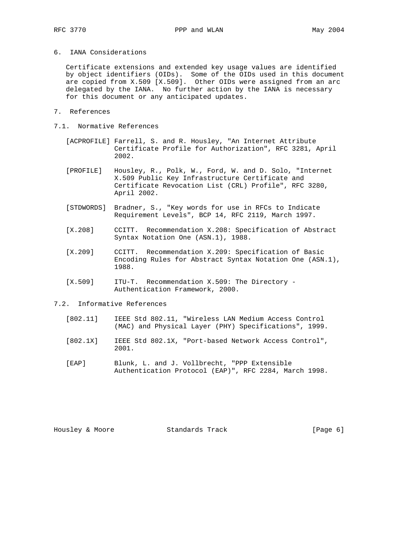6. IANA Considerations

 Certificate extensions and extended key usage values are identified by object identifiers (OIDs). Some of the OIDs used in this document are copied from X.509 [X.509]. Other OIDs were assigned from an arc delegated by the IANA. No further action by the IANA is necessary for this document or any anticipated updates.

- 7. References
- 7.1. Normative References
	- [ACPROFILE] Farrell, S. and R. Housley, "An Internet Attribute Certificate Profile for Authorization", RFC 3281, April 2002.
	- [PROFILE] Housley, R., Polk, W., Ford, W. and D. Solo, "Internet X.509 Public Key Infrastructure Certificate and Certificate Revocation List (CRL) Profile", RFC 3280, April 2002.
	- [STDWORDS] Bradner, S., "Key words for use in RFCs to Indicate Requirement Levels", BCP 14, RFC 2119, March 1997.
	- [X.208] CCITT. Recommendation X.208: Specification of Abstract Syntax Notation One (ASN.1), 1988.
	- [X.209] CCITT. Recommendation X.209: Specification of Basic Encoding Rules for Abstract Syntax Notation One (ASN.1), 1988.
	- [X.509] ITU-T. Recommendation X.509: The Directory Authentication Framework, 2000.
- 7.2. Informative References
	- [802.11] IEEE Std 802.11, "Wireless LAN Medium Access Control (MAC) and Physical Layer (PHY) Specifications", 1999.
	- [802.1X] IEEE Std 802.1X, "Port-based Network Access Control", 2001.
	- [EAP] Blunk, L. and J. Vollbrecht, "PPP Extensible Authentication Protocol (EAP)", RFC 2284, March 1998.

Housley & Moore Standards Track [Page 6]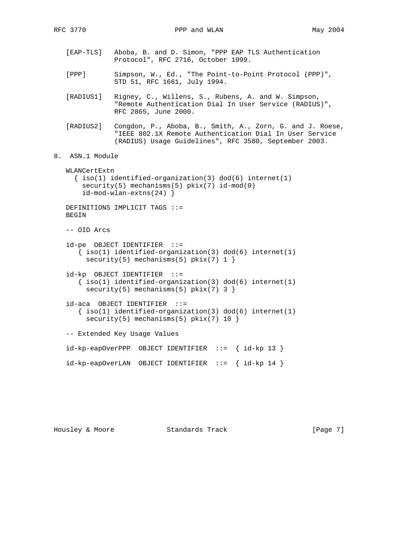[EAP-TLS] Aboba, B. and D. Simon, "PPP EAP TLS Authentication Protocol", RFC 2716, October 1999. [PPP] Simpson, W., Ed., "The Point-to-Point Protocol (PPP)", STD 51, RFC 1661, July 1994. [RADIUS1] Rigney, C., Willens, S., Rubens, A. and W. Simpson, "Remote Authentication Dial In User Service (RADIUS)", RFC 2865, June 2000. [RADIUS2] Congdon, P., Aboba, B., Smith, A., Zorn, G. and J. Roese, "IEEE 802.1X Remote Authentication Dial In User Service (RADIUS) Usage Guidelines", RFC 3580, September 2003. 8. ASN.1 Module WLANCertExtn  $\{ iso(1) *identified-organization(3)  $dod(6) *internet(1)*$*$  security(5) mechanisms(5) pkix(7) id-mod(0) id-mod-wlan-extns(24) } DEFINITIONS IMPLICIT TAGS ::= BEGIN -- OID Arcs id-pe OBJECT IDENTIFIER ::=  $\{ iso(1) *identified-organization(3)  $dod(6) *internet(1)*$*$ security(5) mechanisms(5)  $pkix(7) 1$ } id-kp OBJECT IDENTIFIER ::=  $\{ \text{iso}(1) \text{ identified-organization}(3) \text{ dod}(6) \text{ internet}(1) \}$  $security(5)$  mechanisms(5)  $pkix(7)$  3 } id-aca OBJECT IDENTIFIER ::=  $\{ iso(1) *identified-organization(3)  $dod(6) *internet(1)*$*$  $security(5)$  mechanisms(5)  $pkix(7)$  10 } -- Extended Key Usage Values  $id$ -kp-eapOverPPP OBJECT IDENTIFIER ::= {  $id$ -kp 13 }

id-kp-eapOverLAN OBJECT IDENTIFIER ::= { id-kp 14 }

Housley & Moore 6 (Page 7) Standards Track (Page 7)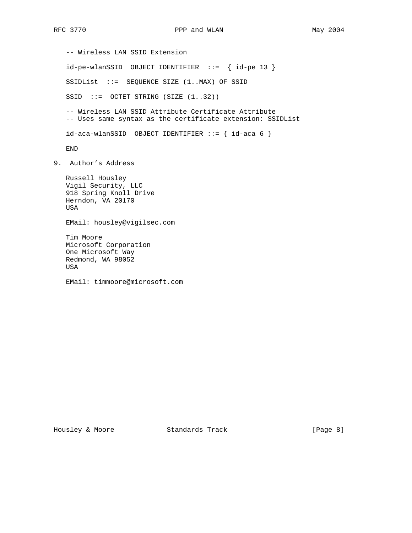-- Wireless LAN SSID Extension id-pe-wlanSSID OBJECT IDENTIFIER ::= { id-pe 13 } SSIDList ::= SEQUENCE SIZE (1..MAX) OF SSID SSID ::= OCTET STRING (SIZE (1..32)) -- Wireless LAN SSID Attribute Certificate Attribute -- Uses same syntax as the certificate extension: SSIDList  $id$ -aca-wlanSSID OBJECT IDENTIFIER  $::=$  {  $id$ -aca 6 } END 9. Author's Address Russell Housley Vigil Security, LLC 918 Spring Knoll Drive Herndon, VA 20170 USA EMail: housley@vigilsec.com Tim Moore Microsoft Corporation One Microsoft Way Redmond, WA 98052 USA

EMail: timmoore@microsoft.com

Housley & Moore Standards Track [Page 8]